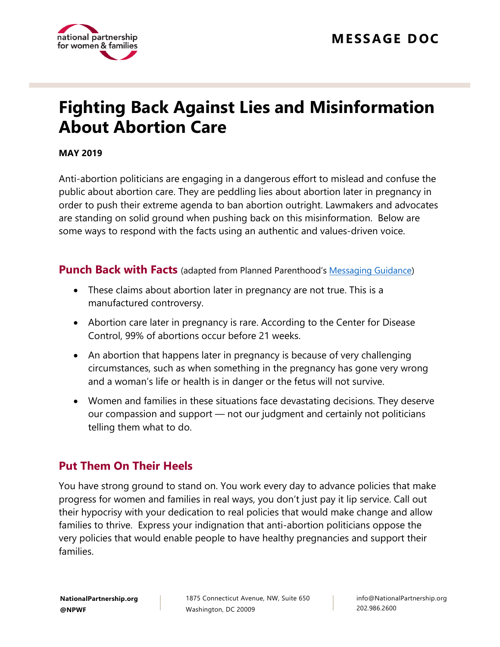

# **Fighting Back Against Lies and Misinformation About Abortion Care**

#### **MAY 2019**

Anti-abortion politicians are engaging in a dangerous effort to mislead and confuse the public about abortion care. They are peddling lies about abortion later in pregnancy in order to push their extreme agenda to ban abortion outright. Lawmakers and advocates are standing on solid ground when pushing back on this misinformation. Below are some ways to respond with the facts using an authentic and values-driven voice.

**Punch Back with Facts** (adapted from Planned Parenthood's [Messaging Guidance\)](https://www.plannedparenthoodaction.org/blog/what-you-need-to-know-about-trumps-lies-about-abortion-later-in-pregnancy)

- These claims about abortion later in pregnancy are not true. This is a manufactured controversy.
- Abortion care later in pregnancy is rare. According to the Center for Disease Control, 99% of abortions occur before 21 weeks.
- An abortion that happens later in pregnancy is because of very challenging circumstances, such as when something in the pregnancy has gone very wrong and a woman's life or health is in danger or the fetus will not survive.
- Women and families in these situations face devastating decisions. They deserve our compassion and support — not our judgment and certainly not politicians telling them what to do.

# **Put Them On Their Heels**

You have strong ground to stand on. You work every day to advance policies that make progress for women and families in real ways, you don't just pay it lip service. Call out their hypocrisy with your dedication to real policies that would make change and allow families to thrive. Express your indignation that anti-abortion politicians oppose the very policies that would enable people to have healthy pregnancies and support their families.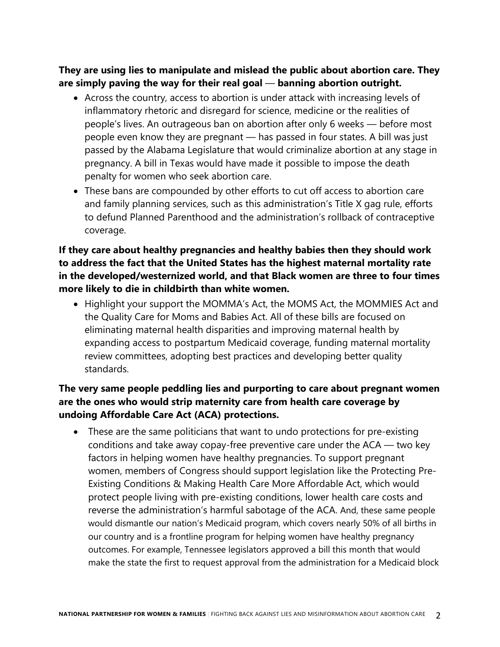**They are using lies to manipulate and mislead the public about abortion care. They are simply paving the way for their real goal** — **banning abortion outright.**

- Across the country, access to abortion is under attack with increasing levels of inflammatory rhetoric and disregard for science, medicine or the realities of people's lives. An outrageous ban on abortion after only 6 weeks — before most people even know they are pregnant — has passed in four states. A bill was just passed by the Alabama Legislature that would criminalize abortion at any stage in pregnancy. A bill in Texas would have made it possible to impose the death penalty for women who seek abortion care.
- These bans are compounded by other efforts to cut off access to abortion care and family planning services, such as this administration's Title X gag rule, efforts to defund Planned Parenthood and the administration's rollback of contraceptive coverage.

## **If they care about healthy pregnancies and healthy babies then they should work to address the fact that the United States has the highest maternal mortality rate in the developed/westernized world, and that Black women are three to four times more likely to die in childbirth than white women.**

• Highlight your support the MOMMA's Act, the MOMS Act, the MOMMIES Act and the Quality Care for Moms and Babies Act. All of these bills are focused on eliminating maternal health disparities and improving maternal health by expanding access to postpartum Medicaid coverage, funding maternal mortality review committees, adopting best practices and developing better quality standards.

## **The very same people peddling lies and purporting to care about pregnant women are the ones who would strip maternity care from health care coverage by undoing Affordable Care Act (ACA) protections.**

• These are the same politicians that want to undo protections for pre-existing conditions and take away copay-free preventive care under the ACA — two key factors in helping women have healthy pregnancies. To support pregnant women, members of Congress should support legislation like the Protecting Pre-Existing Conditions & Making Health Care More Affordable Act, which would protect people living with pre-existing conditions, lower health care costs and reverse the administration's harmful sabotage of the ACA. And, these same people would dismantle our nation's Medicaid program, which covers nearly 50% of all births in our country and is a frontline program for helping women have healthy pregnancy outcomes. For example, Tennessee legislators approved a bill this month that would make the state the first to request approval from the administration for a Medicaid block